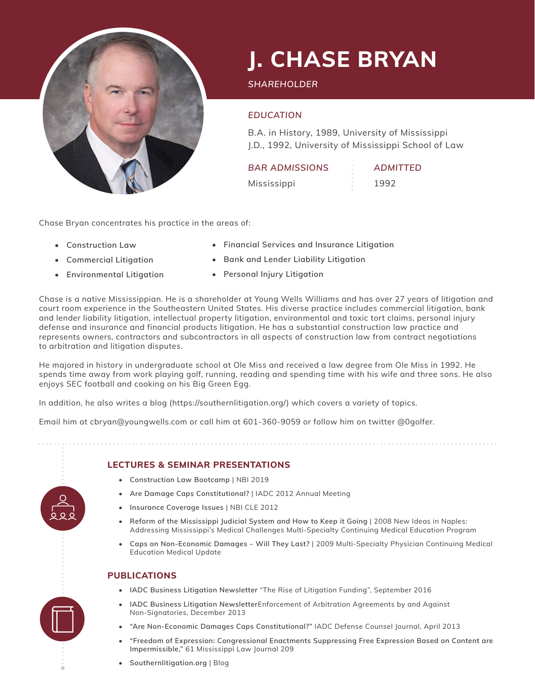

# **J. CHASE BRYAN**

*SHAREHOLDER*

## *EDUCATION*

B.A. in History, 1989, University of Mississippi J.D., 1992, University of Mississippi School of Law

| <b>BAR ADMISSIONS</b> |    | <b>ADMITTED</b> |
|-----------------------|----|-----------------|
| Mississippi           | e. | 1992            |

Chase Bryan concentrates his practice in the areas of:

- **• Construction Law**
- **• Commercial Litigation**
- **• Environmental Litigation**
- **• Financial Services and Insurance Litigation**
- **• Bank and Lender Liability Litigation**
- **• Personal Injury Litigation**

Chase is a native Mississippian. He is a shareholder at Young Wells Williams and has over 27 years of litigation and court room experience in the Southeastern United States. His diverse practice includes commercial litigation, bank and lender liability litigation, intellectual property litigation, environmental and toxic tort claims, personal injury defense and insurance and financial products litigation. He has a substantial construction law practice and represents owners, contractors and subcontractors in all aspects of construction law from contract negotiations to arbitration and litigation disputes.

He majored in history in undergraduate school at Ole Miss and received a law degree from Ole Miss in 1992. He spends time away from work playing golf, running, reading and spending time with his wife and three sons. He also enjoys SEC football and cooking on his Big Green Egg.

In addition, he also writes a blog (https://southernlitigation.org/) which covers a variety of topics.

Email him at cbryan@youngwells.com or call him at 601-360-9059 or follow him on twitter @0golfer.

#### **LECTURES & SEMINAR PRESENTATIONS**

- **• Construction Law Bootcamp** | NBI 2019
- **• Are Damage Caps Constitutional?** | IADC 2012 Annual Meeting
- **• Insurance Coverage Issues** | NBI CLE 2012
- **• Reform of the Mississippi Judicial System and How to Keep it Going** | 2008 New Ideas in Naples: Addressing Mississippi's Medical Challenges Multi-Specialty Continuing Medical Education Program
- **• Caps on Non-Economic Damages Will They Last?** | 2009 Multi-Specialty Physician Continuing Medical Education Medical Update

#### **PUBLICATIONS**

- **• IADC Business Litigation Newsletter** "The Rise of Litigation Funding", September 2016
- **• IADC Business Litigation Newsletter**Enforcement of Arbitration Agreements by and Against Non-Signatories, December 2013
- **• "Are Non-Economic Damages Caps Constitutional?"** IADC Defense Counsel Journal, April 2013
- **• "Freedom of Expression: Congressional Enactments Suppressing Free Expression Based on Content are Impermissible,"** 61 Mississippi Law Journal 209
- **• Southernlitigation.org** | Blog